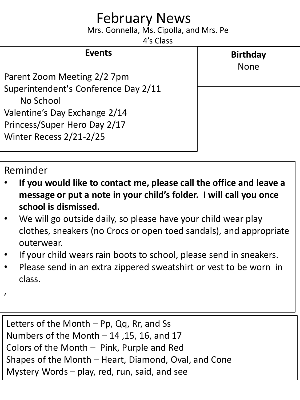## February News

Mrs. Gonnella, Ms. Cipolla, and Mrs. Pe

4's Class

**Birthday**

None

## **Events**

Parent Zoom Meeting 2/2 7pm Superintendent's Conference Day 2/11 No School Valentine's Day Exchange 2/14 Princess/Super Hero Day 2/17 Winter Recess 2/21-2/25

## Reminder

- **If you would like to contact me, please call the office and leave a message or put a note in your child's folder. I will call you once school is dismissed.**
- We will go outside daily, so please have your child wear play clothes, sneakers (no Crocs or open toed sandals), and appropriate outerwear.
- If your child wears rain boots to school, please send in sneakers.
- Please send in an extra zippered sweatshirt or vest to be worn in class.
- ,

Letters of the Month – Pp, Qq, Rr, and Ss Numbers of the Month – 14 ,15, 16, and 17 Colors of the Month – Pink, Purple and Red Shapes of the Month – Heart, Diamond, Oval, and Cone Mystery Words – play, red, run, said, and see